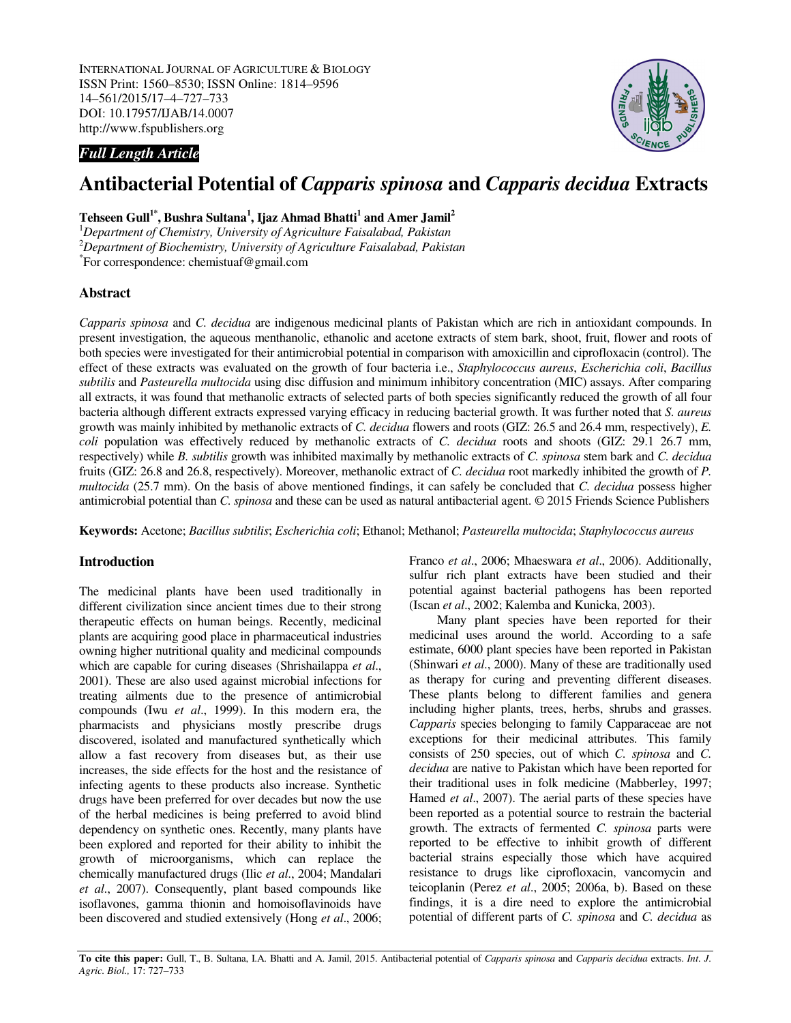INTERNATIONAL JOURNAL OF AGRICULTURE & BIOLOGY ISSN Print: 1560–8530; ISSN Online: 1814–9596 14–561/2015/17–4–727–733 DOI: 10.17957/IJAB/14.0007 http://www.fspublishers.org



## *Full Length Article*

# **Antibacterial Potential of** *Capparis spinosa* **and** *Capparis decidua* **Extracts**

## **Tehseen Gull1\*, Bushra Sultana<sup>1</sup> , Ijaz Ahmad Bhatti<sup>1</sup> and Amer Jamil<sup>2</sup>**

<sup>1</sup>*Department of Chemistry, University of Agriculture Faisalabad, Pakistan*  <sup>2</sup>*Department of Biochemistry, University of Agriculture Faisalabad, Pakistan*  \* For correspondence: chemistuaf@gmail.com

## **Abstract**

*Capparis spinosa* and *C. decidua* are indigenous medicinal plants of Pakistan which are rich in antioxidant compounds. In present investigation, the aqueous menthanolic, ethanolic and acetone extracts of stem bark, shoot, fruit, flower and roots of both species were investigated for their antimicrobial potential in comparison with amoxicillin and ciprofloxacin (control). The effect of these extracts was evaluated on the growth of four bacteria i.e., *Staphylococcus aureus*, *Escherichia coli*, *Bacillus subtilis* and *Pasteurella multocida* using disc diffusion and minimum inhibitory concentration (MIC) assays. After comparing all extracts, it was found that methanolic extracts of selected parts of both species significantly reduced the growth of all four bacteria although different extracts expressed varying efficacy in reducing bacterial growth. It was further noted that *S. aureus* growth was mainly inhibited by methanolic extracts of *C. decidua* flowers and roots (GIZ: 26.5 and 26.4 mm, respectively), *E. coli* population was effectively reduced by methanolic extracts of *C. decidua* roots and shoots (GIZ: 29.1 26.7 mm, respectively) while *B. subtilis* growth was inhibited maximally by methanolic extracts of *C. spinosa* stem bark and *C. decidua* fruits (GIZ: 26.8 and 26.8, respectively). Moreover, methanolic extract of *C. decidua* root markedly inhibited the growth of *P. multocida* (25.7 mm). On the basis of above mentioned findings, it can safely be concluded that *C. decidua* possess higher antimicrobial potential than *C. spinosa* and these can be used as natural antibacterial agent. © 2015 Friends Science Publishers

**Keywords:** Acetone; *Bacillus subtilis*; *Escherichia coli*; Ethanol; Methanol; *Pasteurella multocida*; *Staphylococcus aureus*

## **Introduction**

The medicinal plants have been used traditionally in different civilization since ancient times due to their strong therapeutic effects on human beings. Recently, medicinal plants are acquiring good place in pharmaceutical industries owning higher nutritional quality and medicinal compounds which are capable for curing diseases (Shrishailappa *et al*., 2001). These are also used against microbial infections for treating ailments due to the presence of antimicrobial compounds (Iwu *et al*., 1999). In this modern era, the pharmacists and physicians mostly prescribe drugs discovered, isolated and manufactured synthetically which allow a fast recovery from diseases but, as their use increases, the side effects for the host and the resistance of infecting agents to these products also increase. Synthetic drugs have been preferred for over decades but now the use of the herbal medicines is being preferred to avoid blind dependency on synthetic ones. Recently, many plants have been explored and reported for their ability to inhibit the growth of microorganisms, which can replace the chemically manufactured drugs (Ilic *et al*., 2004; Mandalari *et al*., 2007). Consequently, plant based compounds like isoflavones, gamma thionin and homoisoflavinoids have been discovered and studied extensively (Hong *et al*., 2006; Franco *et al*., 2006; Mhaeswara *et al*., 2006). Additionally, sulfur rich plant extracts have been studied and their potential against bacterial pathogens has been reported (Iscan *et al*., 2002; Kalemba and Kunicka, 2003).

Many plant species have been reported for their medicinal uses around the world. According to a safe estimate, 6000 plant species have been reported in Pakistan (Shinwari *et al*., 2000). Many of these are traditionally used as therapy for curing and preventing different diseases. These plants belong to different families and genera including higher plants, trees, herbs, shrubs and grasses. *Capparis* species belonging to family Capparaceae are not exceptions for their medicinal attributes. This family consists of 250 species, out of which *C. spinosa* and *C. decidua* are native to Pakistan which have been reported for their traditional uses in folk medicine (Mabberley, 1997; Hamed *et al*., 2007). The aerial parts of these species have been reported as a potential source to restrain the bacterial growth. The extracts of fermented *C. spinosa* parts were reported to be effective to inhibit growth of different bacterial strains especially those which have acquired resistance to drugs like ciprofloxacin, vancomycin and teicoplanin (Perez *et al*., 2005; 2006a, b). Based on these findings, it is a dire need to explore the antimicrobial potential of different parts of *C. spinosa* and *C. decidua* as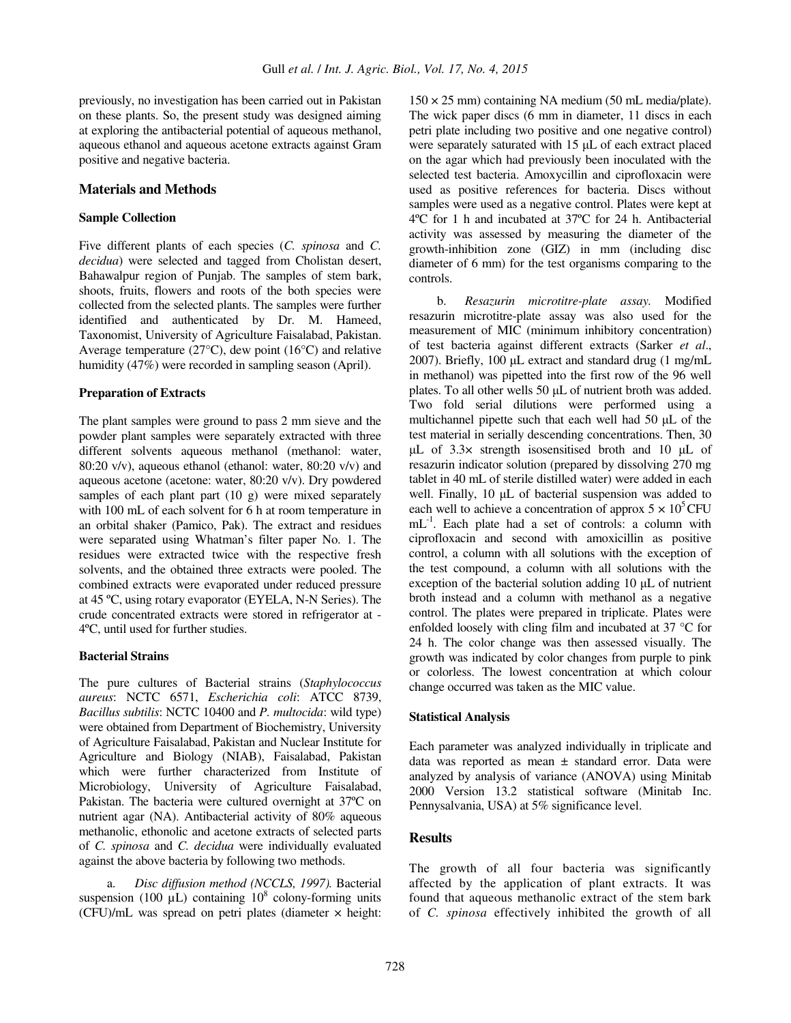previously, no investigation has been carried out in Pakistan on these plants. So, the present study was designed aiming at exploring the antibacterial potential of aqueous methanol, aqueous ethanol and aqueous acetone extracts against Gram positive and negative bacteria.

#### **Materials and Methods**

#### **Sample Collection**

Five different plants of each species (*C. spinosa* and *C. decidua*) were selected and tagged from Cholistan desert, Bahawalpur region of Punjab. The samples of stem bark, shoots, fruits, flowers and roots of the both species were collected from the selected plants. The samples were further identified and authenticated by Dr. M. Hameed, Taxonomist, University of Agriculture Faisalabad, Pakistan. Average temperature (27°C), dew point (16°C) and relative humidity (47%) were recorded in sampling season (April).

#### **Preparation of Extracts**

The plant samples were ground to pass 2 mm sieve and the powder plant samples were separately extracted with three different solvents aqueous methanol (methanol: water, 80:20 v/v), aqueous ethanol (ethanol: water, 80:20 v/v) and aqueous acetone (acetone: water, 80:20 v/v). Dry powdered samples of each plant part (10 g) were mixed separately with 100 mL of each solvent for 6 h at room temperature in an orbital shaker (Pamico, Pak). The extract and residues were separated using Whatman's filter paper No. 1. The residues were extracted twice with the respective fresh solvents, and the obtained three extracts were pooled. The combined extracts were evaporated under reduced pressure at 45 ºC, using rotary evaporator (EYELA, N-N Series). The crude concentrated extracts were stored in refrigerator at - 4ºC, until used for further studies.

#### **Bacterial Strains**

The pure cultures of Bacterial strains (*Staphylococcus aureus*: NCTC 6571, *Escherichia coli*: ATCC 8739, *Bacillus subtilis*: NCTC 10400 and *P. multocida*: wild type) were obtained from Department of Biochemistry, University of Agriculture Faisalabad, Pakistan and Nuclear Institute for Agriculture and Biology (NIAB), Faisalabad, Pakistan which were further characterized from Institute of Microbiology, University of Agriculture Faisalabad, Pakistan. The bacteria were cultured overnight at 37ºC on nutrient agar (NA). Antibacterial activity of 80% aqueous methanolic, ethonolic and acetone extracts of selected parts of *C. spinosa* and *C. decidua* were individually evaluated against the above bacteria by following two methods.

a. *Disc diffusion method (NCCLS, 1997).* Bacterial suspension (100  $\mu$ L) containing 10<sup>8</sup> colony-forming units (CFU)/mL was spread on petri plates (diameter × height:

 $150 \times 25$  mm) containing NA medium (50 mL media/plate). The wick paper discs (6 mm in diameter, 11 discs in each petri plate including two positive and one negative control) were separately saturated with 15 µL of each extract placed on the agar which had previously been inoculated with the selected test bacteria. Amoxycillin and ciprofloxacin were used as positive references for bacteria. Discs without samples were used as a negative control. Plates were kept at 4ºC for 1 h and incubated at 37ºC for 24 h. Antibacterial activity was assessed by measuring the diameter of the growth-inhibition zone (GIZ) in mm (including disc diameter of 6 mm) for the test organisms comparing to the controls.

b. *Resazurin microtitre-plate assay.* Modified resazurin microtitre-plate assay was also used for the measurement of MIC (minimum inhibitory concentration) of test bacteria against different extracts (Sarker *et al*., 2007). Briefly, 100 µL extract and standard drug (1 mg/mL in methanol) was pipetted into the first row of the 96 well plates. To all other wells 50 µL of nutrient broth was added. Two fold serial dilutions were performed using a multichannel pipette such that each well had 50 µL of the test material in serially descending concentrations. Then, 30 µL of 3.3× strength isosensitised broth and 10 µL of resazurin indicator solution (prepared by dissolving 270 mg tablet in 40 mL of sterile distilled water) were added in each well. Finally, 10  $\mu$ L of bacterial suspension was added to each well to achieve a concentration of approx  $5 \times 10^5$  CFU  $mL^{-1}$ . Each plate had a set of controls: a column with ciprofloxacin and second with amoxicillin as positive control, a column with all solutions with the exception of the test compound, a column with all solutions with the exception of the bacterial solution adding 10 µL of nutrient broth instead and a column with methanol as a negative control. The plates were prepared in triplicate. Plates were enfolded loosely with cling film and incubated at 37 °C for 24 h. The color change was then assessed visually. The growth was indicated by color changes from purple to pink or colorless. The lowest concentration at which colour change occurred was taken as the MIC value.

#### **Statistical Analysis**

Each parameter was analyzed individually in triplicate and data was reported as mean ± standard error. Data were analyzed by analysis of variance (ANOVA) using Minitab 2000 Version 13.2 statistical software (Minitab Inc. Pennysalvania, USA) at 5% significance level.

## **Results**

The growth of all four bacteria was significantly affected by the application of plant extracts. It was found that aqueous methanolic extract of the stem bark of *C. spinosa* effectively inhibited the growth of all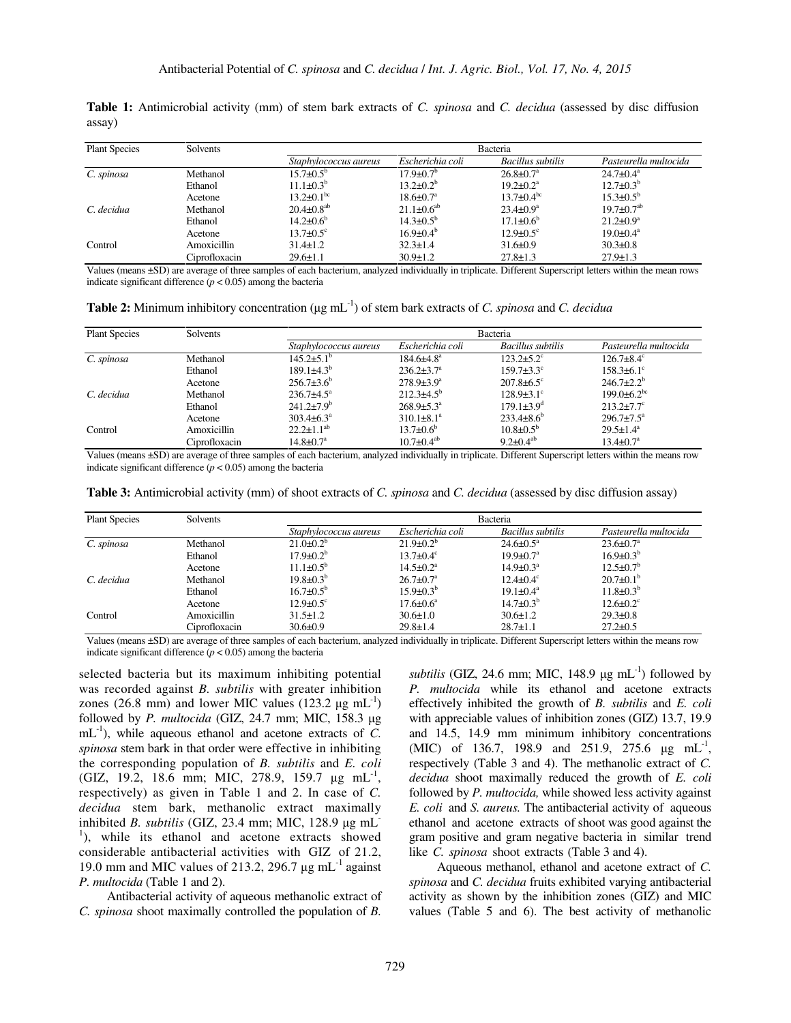| <b>Plant Species</b> | Solvents      | Bacteria                     |                           |                             |                              |  |
|----------------------|---------------|------------------------------|---------------------------|-----------------------------|------------------------------|--|
|                      |               | Staphylococcus aureus        | Escherichia coli          | Bacillus subtilis           | Pasteurella multocida        |  |
| C. spinosa           | Methanol      | $15.7 \pm 0.5^{\rm b}$       | $17.9 \pm 0.7^{\rm b}$    | $26.8 \pm 0.7^{\text{a}}$   | $24.7 \pm 0.4^{\circ}$       |  |
|                      | Ethanol       | $11.1 \pm 0.3^{b}$           | $13.2 \pm 0.2^b$          | $19.2 \pm 0.2^a$            | $12.7 \pm 0.3^b$             |  |
|                      | Acetone       | $13.2 \pm 0.1^{\rm bc}$      | $18.6 \pm 0.7^{\text{a}}$ | $13.7 \pm 0.4^{\rm bc}$     | $15.3 \pm 0.5^{\rm b}$       |  |
| C. decidua           | Methanol      | $20.4 \pm 0.8$ <sup>ab</sup> | $21.1 \pm 0.6^{ab}$       | $23.4 \pm 0.9^a$            | $19.7 \pm 0.7$ <sup>ab</sup> |  |
|                      | Ethanol       | $14.2 \pm 0.6^{\circ}$       | $14.3 \pm 0.5^{\rm b}$    | $17.1 \pm 0.6^{\circ}$      | $21.2 \pm 0.9^a$             |  |
|                      | Acetone       | $13.7 \pm 0.5$ <sup>c</sup>  | $16.9 \pm 0.4^b$          | $12.9 \pm 0.5$ <sup>c</sup> | $19.0 \pm 0.4^{\text{a}}$    |  |
| Control              | Amoxicillin   | $31.4 \pm 1.2$               | $32.3 \pm 1.4$            | $31.6 \pm 0.9$              | $30.3 \pm 0.8$               |  |
|                      | Ciprofloxacin | $29.6 \pm 1.1$               | $30.9 \pm 1.2$            | $27.8 \pm 1.3$              | $27.9 \pm 1.3$               |  |

**Table 1:** Antimicrobial activity (mm) of stem bark extracts of *C. spinosa* and *C. decidua* (assessed by disc diffusion assay)

Values (means ±SD) are average of three samples of each bacterium, analyzed individually in triplicate. Different Superscript letters within the mean rows indicate significant difference  $(p < 0.05)$  among the bacteria

**Table 2:** Minimum inhibitory concentration (µg mL-1) of stem bark extracts of *C. spinosa* and *C. decidua*

| <b>Plant Species</b> | Solvents      | Bacteria                    |                              |                              |                           |  |
|----------------------|---------------|-----------------------------|------------------------------|------------------------------|---------------------------|--|
|                      |               | Staphylococcus aureus       | Escherichia coli             | <b>Bacillus</b> subtilis     | Pasteurella multocida     |  |
| C. spinosa           | Methanol      | $145.2 \pm 5.1^{\circ}$     | $184.6{\pm}4.8^{\mathrm{a}}$ | $123.2 \pm 5.2$ <sup>c</sup> | $126.7 + 8.4$ °           |  |
|                      | Ethanol       | $189.1 \pm 4.3^{\rm b}$     | $236.2 \pm 3.7$ <sup>a</sup> | $159.7 \pm 3.3$ <sup>c</sup> | $158.3 \pm 6.1$ °         |  |
|                      | Acetone       | $256.7\pm3.6^b$             | $278.9 \pm 3.9^a$            | $207.8 \pm 6.5$ °            | $246.7 \pm 2.2^b$         |  |
| C. decidua           | Methanol      | $236.7 \pm 4.5^{\circ}$     | $212.3+4.5^{b}$              | $128.9\pm3.1^{\circ}$        | $199.0\pm6.2^{bc}$        |  |
|                      | Ethanol       | $241.2 \pm 7.9^b$           | $268.9 \pm 5.3^{\circ}$      | $179.1 \pm 3.9$ <sup>d</sup> | $213.2 \pm 7.7$ °         |  |
|                      | Acetone       | $303.4 \pm 6.3^{\circ}$     | $310.1 \pm 8.1^a$            | $233.4\pm8.6^{\circ}$        | $296.7 \pm 7.5^{\circ}$   |  |
| Control              | Amoxicillin   | $22.2 \pm 1.1^{ab}$         | $13.7 \pm 0.6^b$             | $10.8 \pm 0.5^{\rm b}$       | $29.5 \pm 1.4^a$          |  |
|                      | Ciprofloxacin | $14.8 \pm 0.7$ <sup>a</sup> | $10.7 \pm 0.4^{ab}$          | $9.2 \pm 0.4^{ab}$           | $13.4 \pm 0.7^{\text{a}}$ |  |

Values (means ±SD) are average of three samples of each bacterium, analyzed individually in triplicate. Different Superscript letters within the means row indicate significant difference ( $p < 0.05$ ) among the bacteria

**Table 3:** Antimicrobial activity (mm) of shoot extracts of *C. spinosa* and *C. decidua* (assessed by disc diffusion assay)

| <b>Plant Species</b> | Solvents      | Bacteria               |                             |                             |                             |  |
|----------------------|---------------|------------------------|-----------------------------|-----------------------------|-----------------------------|--|
|                      |               | Staphylococcus aureus  | Escherichia coli            | Bacillus subtilis           | Pasteurella multocida       |  |
| C. spinosa           | Methanol      | $21.0\pm0.2^b$         | $21.9 \pm 0.2^b$            | $24.6 \pm 0.5^{\text{a}}$   | $23.6 \pm 0.7^{\text{a}}$   |  |
|                      | Ethanol       | $17.9 \pm 0.2^b$       | $13.7 \pm 0.4$ <sup>c</sup> | $19.9 \pm 0.7$ <sup>a</sup> | $16.9 \pm 0.3^b$            |  |
|                      | Acetone       | $11.1 \pm 0.5^{\circ}$ | $14.5 \pm 0.2^a$            | $14.9 \pm 0.3^{\text{a}}$   | $12.5 \pm 0.7^b$            |  |
| C. decidua           | Methanol      | $19.8 \pm 0.3^b$       | $26.7 \pm 0.7^{\rm a}$      | $12.4 \pm 0.4$ <sup>c</sup> | $20.7\pm0.1^{\rm b}$        |  |
|                      | Ethanol       | $16.7 \pm 0.5^{\rm b}$ | $15.9 \pm 0.3^{\rm b}$      | $19.1 \pm 0.4^a$            | $11.8 \pm 0.3^b$            |  |
|                      | Acetone       | $12.9 \pm 0.5$ °       | $17.6 \pm 0.6^{\mathrm{a}}$ | $14.7 \pm 0.3^{\rm b}$      | $12.6 \pm 0.2$ <sup>c</sup> |  |
| Control              | Amoxicillin   | $31.5 \pm 1.2$         | $30.6 \pm 1.0$              | $30.6 \pm 1.2$              | $29.3 \pm 0.8$              |  |
|                      | Ciprofloxacin | $30.6 \pm 0.9$         | $29.8 \pm 1.4$              | $28.7 \pm 1.1$              | $27.2 \pm 0.5$              |  |

Values (means ±SD) are average of three samples of each bacterium, analyzed individually in triplicate. Different Superscript letters within the means row indicate significant difference ( $p < 0.05$ ) among the bacteria

selected bacteria but its maximum inhibiting potential was recorded against *B. subtilis* with greater inhibition zones (26.8 mm) and lower MIC values (123.2  $\mu$ g mL<sup>-1</sup>) followed by *P. multocida* (GIZ, 24.7 mm; MIC, 158.3 µg  $mL^{-1}$ ), while aqueous ethanol and acetone extracts of *C*. *spinosa* stem bark in that order were effective in inhibiting the corresponding population of *B. subtilis* and *E. coli* (GIZ, 19.2, 18.6 mm; MIC, 278.9, 159.7 µg mL<sup>-1</sup>, respectively) as given in Table 1 and 2. In case of *C. decidua* stem bark, methanolic extract maximally inhibited *B. subtilis* (GIZ, 23.4 mm; MIC, 128.9 µg mL-<sup>1</sup>), while its ethanol and acetone extracts showed considerable antibacterial activities with GIZ of 21.2, 19.0 mm and MIC values of 213.2, 296.7  $\mu$ g mL<sup>-1</sup> against *P. multocida* (Table 1 and 2).

Antibacterial activity of aqueous methanolic extract of *C. spinosa* shoot maximally controlled the population of *B.* 

*subtilis* (GIZ, 24.6 mm; MIC, 148.9  $\mu$ g mL<sup>-1</sup>) followed by *P. multocida* while its ethanol and acetone extracts effectively inhibited the growth of *B. subtilis* and *E. coli* with appreciable values of inhibition zones (GIZ) 13.7, 19.9 and 14.5, 14.9 mm minimum inhibitory concentrations (MIC) of 136.7, 198.9 and 251.9, 275.6  $\mu$ g mL<sup>-1</sup>, respectively (Table 3 and 4). The methanolic extract of *C. decidua* shoot maximally reduced the growth of *E. coli* followed by *P. multocida,* while showed less activity against *E. coli* and *S. aureus.* The antibacterial activity of aqueous ethanol and acetone extracts of shoot was good against the gram positive and gram negative bacteria in similar trend like *C. spinosa* shoot extracts (Table 3 and 4).

Aqueous methanol, ethanol and acetone extract of *C. spinosa* and *C. decidua* fruits exhibited varying antibacterial activity as shown by the inhibition zones (GIZ) and MIC values (Table 5 and 6). The best activity of methanolic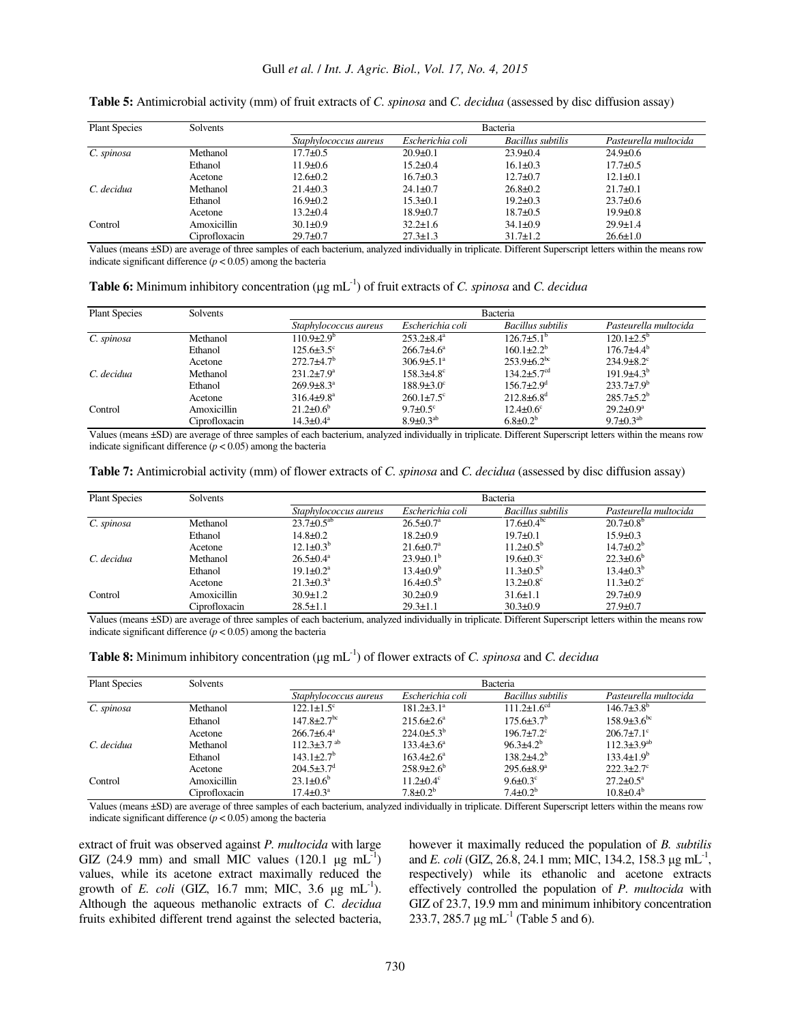| <b>Plant Species</b> | Solvents      | Bacteria              |                  |                   |                       |  |
|----------------------|---------------|-----------------------|------------------|-------------------|-----------------------|--|
|                      |               | Staphylococcus aureus | Escherichia coli | Bacillus subtilis | Pasteurella multocida |  |
| C. spinosa           | Methanol      | $17.7 \pm 0.5$        | $20.9 \pm 0.1$   | $23.9 \pm 0.4$    | $24.9 \pm 0.6$        |  |
|                      | Ethanol       | $11.9 \pm 0.6$        | $15.2 \pm 0.4$   | $16.1 \pm 0.3$    | $17.7 \pm 0.5$        |  |
|                      | Acetone       | $12.6 \pm 0.2$        | $16.7 \pm 0.3$   | $12.7 + 0.7$      | $12.1 \pm 0.1$        |  |
| C. decidua           | Methanol      | $21.4 \pm 0.3$        | $24.1 \pm 0.7$   | $26.8 \pm 0.2$    | $21.7 \pm 0.1$        |  |
|                      | Ethanol       | $16.9 \pm 0.2$        | $15.3 \pm 0.1$   | $19.2 \pm 0.3$    | $23.7 \pm 0.6$        |  |
|                      | Acetone       | $13.2 \pm 0.4$        | $18.9 \pm 0.7$   | $18.7 \pm 0.5$    | $19.9 \pm 0.8$        |  |
| Control              | Amoxicillin   | $30.1 \pm 0.9$        | $32.2 \pm 1.6$   | $34.1 \pm 0.9$    | $29.9 \pm 1.4$        |  |
|                      | Ciprofloxacin | $29.7 \pm 0.7$        | $27.3 \pm 1.3$   | $31.7 \pm 1.2$    | $26.6 \pm 1.0$        |  |

**Table 5:** Antimicrobial activity (mm) of fruit extracts of *C. spinosa* and *C. decidua* (assessed by disc diffusion assay)

Values (means ±SD) are average of three samples of each bacterium, analyzed individually in triplicate. Different Superscript letters within the means row indicate significant difference ( $p < 0.05$ ) among the bacteria

| <b>Table 6:</b> Minimum inhibitory concentration ( $\mu$ g mL <sup>-1</sup> ) of fruit extracts of <i>C. spinosa</i> and <i>C. decidua</i> |  |  |  |
|--------------------------------------------------------------------------------------------------------------------------------------------|--|--|--|
|                                                                                                                                            |  |  |  |

| <b>Plant Species</b> | Solvents      | <b>Bacteria</b>            |                              |                               |                              |  |
|----------------------|---------------|----------------------------|------------------------------|-------------------------------|------------------------------|--|
|                      |               | Staphylococcus aureus      | Escherichia coli             | <b>Bacillus subtilis</b>      | Pasteurella multocida        |  |
| C. spinosa           | Methanol      | $110.9 \pm 2.9^{\circ}$    | $253.2\pm8.4^a$              | $126.7\pm5.1^{\circ}$         | $120.1 \pm 2.5^{\circ}$      |  |
|                      | Ethanol       | $125.6 \pm 3.5$ °          | $266.7 + 4.6^a$              | $160.1 \pm 2.2^b$             | $176.7 + 4.4^b$              |  |
|                      | Acetone       | $272.7+4.7b$               | $306.9 \pm 5.1^{\circ}$      | $253.9 \pm 6.2^{bc}$          | $234.9 \pm 8.2$ <sup>c</sup> |  |
| C. decidua           | Methanol      | $231.2 \pm 7.9^a$          | $158.3 \pm 4.8$ <sup>c</sup> | $134.2 \pm 5.7$ <sup>cd</sup> | $191.9\pm4.3^{b}$            |  |
|                      | Ethanol       | $269.9 \pm 8.3^a$          | $188.9 \pm 3.0^{\circ}$      | $156.7 \pm 2.9$ <sup>d</sup>  | $233.7 \pm 7.9^b$            |  |
|                      | Acetone       | $316.4\pm9.8^{\mathrm{a}}$ | $260.1 \pm 7.5$ °            | $212.8 \pm 6.8$ <sup>d</sup>  | $285.7 \pm 5.2^b$            |  |
| Control              | Amoxicillin   | $21.2 \pm 0.6^b$           | $9.7 \pm 0.5$ °              | $12.4 \pm 0.6^{\circ}$        | $29.2 \pm 0.9^a$             |  |
|                      | Ciprofloxacin | $14.3 \pm 0.4^{\text{a}}$  | $8.9 \pm 0.3^{ab}$           | $6.8 \pm 0.2^b$               | $9.7 \pm 0.3^{ab}$           |  |

Values (means ±SD) are average of three samples of each bacterium, analyzed individually in triplicate. Different Superscript letters within the means row indicate significant difference ( $p < 0.05$ ) among the bacteria

**Table 7:** Antimicrobial activity (mm) of flower extracts of *C. spinosa* and *C. decidua* (assessed by disc diffusion assay)

| <b>Plant Species</b> | Solvents      | Bacteria              |                             |                             |                             |  |
|----------------------|---------------|-----------------------|-----------------------------|-----------------------------|-----------------------------|--|
|                      |               | Staphylococcus aureus | Escherichia coli            | <b>Bacillus</b> subtilis    | Pasteurella multocida       |  |
| C. spinosa           | Methanol      | $23.7 \pm 0.5^{ab}$   | $26.5 \pm 0.7^{\circ}$      | $17.6 \pm 0.4^{\circ}$      | $20.7 \pm 0.8^{\circ}$      |  |
|                      | Ethanol       | $14.8 \pm 0.2$        | $18.2 \pm 0.9$              | $19.7 \pm 0.1$              | $15.9 \pm 0.3$              |  |
|                      | Acetone       | $12.1 \pm 0.3^{b}$    | $21.6 \pm 0.7$ <sup>a</sup> | $11.2 \pm 0.5^{\circ}$      | $14.7 \pm 0.2^b$            |  |
| C. decidua           | Methanol      | $26.5 \pm 0.4^a$      | $23.9\pm0.1^{\rm b}$        | $19.6 \pm 0.3$ <sup>c</sup> | $22.3 \pm 0.6^b$            |  |
|                      | Ethanol       | $19.1 \pm 0.2^a$      | $13.4 \pm 0.9^b$            | $11.3 \pm 0.5^{\rm b}$      | $13.4 \pm 0.3^b$            |  |
|                      | Acetone       | $21.3 \pm 0.3^a$      | $16.4 \pm 0.5^{\rm b}$      | $13.2 \pm 0.8$ <sup>c</sup> | $11.3 \pm 0.2$ <sup>c</sup> |  |
| Control              | Amoxicillin   | $30.9 \pm 1.2$        | $30.2 \pm 0.9$              | $31.6 \pm 1.1$              | $29.7 \pm 0.9$              |  |
|                      | Ciprofloxacin | $28.5 \pm 1.1$        | $29.3 \pm 1.1$              | $30.3 \pm 0.9$              | $27.9 \pm 0.7$              |  |

Values (means ±SD) are average of three samples of each bacterium, analyzed individually in triplicate. Different Superscript letters within the means row indicate significant difference  $(p < 0.05)$  among the bacteria

**Table 8:** Minimum inhibitory concentration (µg mL-1) of flower extracts of *C. spinosa* and *C. decidua* 

| <b>Plant Species</b> | Solvents      | Bacteria                      |                              |                              |                           |  |
|----------------------|---------------|-------------------------------|------------------------------|------------------------------|---------------------------|--|
|                      |               | Staphylococcus aureus         | Escherichia coli             | Bacillus subtilis            | Pasteurella multocida     |  |
| C. spinosa           | Methanol      | $122.1 \pm 1.5$ <sup>c</sup>  | $181.2\pm3.1^a$              | $111.2 \pm 1.6^{cd}$         | $146.7\pm3.8^{b}$         |  |
|                      | Ethanol       | $147.8 \pm 2.7$ <sup>bc</sup> | $215.6 \pm 2.6^a$            | $175.6 \pm 3.7^{\circ}$      | $158.9 \pm 3.6^{\circ}$   |  |
|                      | Acetone       | $266.7\pm 6.4^a$              | $224.0\pm5.3^{b}$            | $196.7 \pm 7.2$ <sup>c</sup> | $206.7 \pm 7.1$ °         |  |
| C. decidua           | Methanol      | $112.3 \pm 3.7$ <sup>ab</sup> | $133.4 \pm 3.6^a$            | $96.3 \pm 4.2^b$             | $112.3 \pm 3.9^{ab}$      |  |
|                      | Ethanol       | $143.1 \pm 2.7$ <sup>b</sup>  | $163.4 \pm 2.6^a$            | $138.2+4.2^{b}$              | $133.4 \pm 1.9^b$         |  |
|                      | Acetone       | $204.5 \pm 3.7$ <sup>d</sup>  | $258.9 \pm 2.6$ <sup>b</sup> | $295.6 \pm 8.9^{\mathrm{a}}$ | $222.3 \pm 2.7$ °         |  |
| Control              | Amoxicillin   | $23.1 \pm 0.6^b$              | $11.2 \pm 0.4$ <sup>c</sup>  | $9.6 \pm 0.3$ °              | $27.2 \pm 0.5^{\text{a}}$ |  |
|                      | Ciprofloxacin | $17.4 \pm 0.3^{\text{a}}$     | $7.8 \pm 0.2^b$              | $7.4 \pm 0.2^b$              | $10.8 \pm 0.4^{\circ}$    |  |

Values (means ±SD) are average of three samples of each bacterium, analyzed individually in triplicate. Different Superscript letters within the means row indicate significant difference  $(p < 0.05)$  among the bacteria

extract of fruit was observed against *P. multocida* with large GIZ (24.9 mm) and small MIC values (120.1  $\mu$ g mL<sup>-1</sup>) values, while its acetone extract maximally reduced the growth of *E. coli* (GIZ, 16.7 mm; MIC,  $3.6 \text{ µg} \text{ mL}^{-1}$ ). Although the aqueous methanolic extracts of *C. decidua* fruits exhibited different trend against the selected bacteria, however it maximally reduced the population of *B. subtilis* and *E. coli* (GIZ, 26.8, 24.1 mm; MIC, 134.2, 158.3 µg mL<sup>-1</sup>, respectively) while its ethanolic and acetone extracts effectively controlled the population of *P. multocida* with GIZ of 23.7, 19.9 mm and minimum inhibitory concentration 233.7, 285.7  $\mu$ g mL<sup>-1</sup> (Table 5 and 6).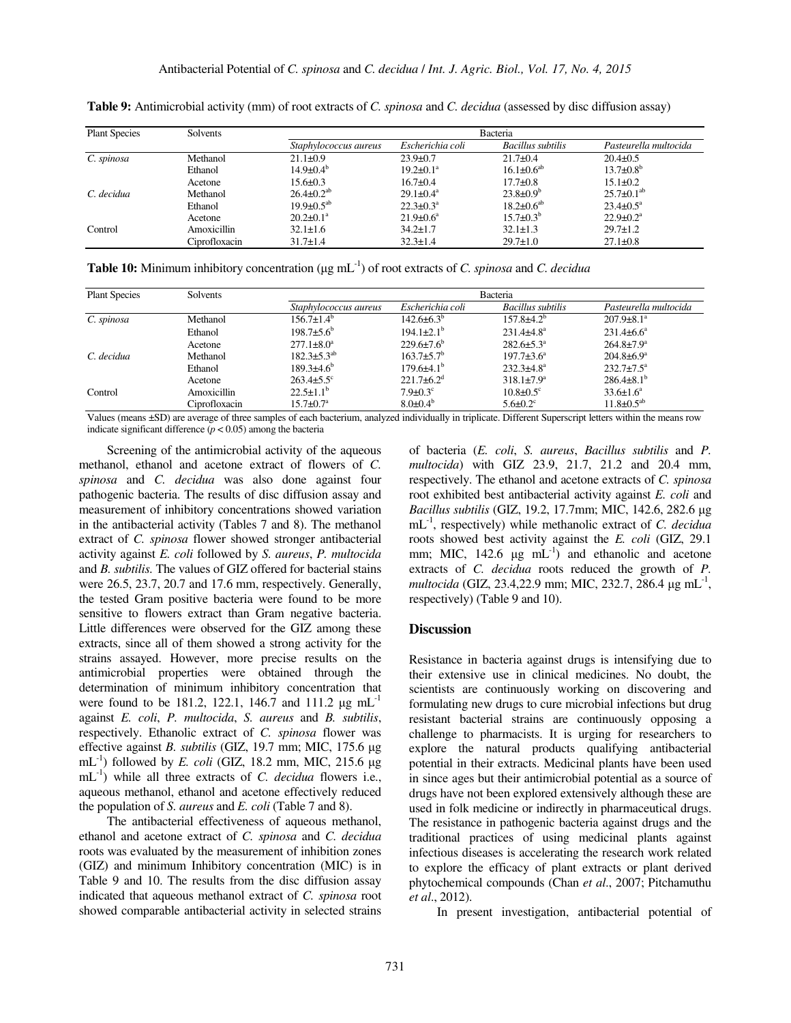| <b>Plant Species</b> | Solvents      | <b>Bacteria</b>              |                           |                     |                             |  |
|----------------------|---------------|------------------------------|---------------------------|---------------------|-----------------------------|--|
|                      |               | <i>Staphylococcus aureus</i> | Escherichia coli          | Bacillus subtilis   | Pasteurella multocida       |  |
| C. spinosa           | Methanol      | $21.1 \pm 0.9$               | $23.9 \pm 0.7$            | $21.7 \pm 0.4$      | $20.4 \pm 0.5$              |  |
|                      | Ethanol       | $14.9 \pm 0.4^b$             | $19.2 \pm 0.1^a$          | $16.1 \pm 0.6^{ab}$ | $13.7 \pm 0.8^b$            |  |
|                      | Acetone       | $15.6 \pm 0.3$               | $16.7 \pm 0.4$            | $17.7 \pm 0.8$      | $15.1 \pm 0.2$              |  |
| C. decidua           | Methanol      | $26.4 \pm 0.2^{ab}$          | $29.1 \pm 0.4^{\circ}$    | $23.8 \pm 0.9^b$    | $25.7 \pm 0.1^{ab}$         |  |
|                      | Ethanol       | $19.9 \pm 0.5^{ab}$          | $22.3 \pm 0.3^{\text{a}}$ | $18.2 \pm 0.6^{ab}$ | $23.4 \pm 0.5^{\text{a}}$   |  |
|                      | Acetone       | $20.2 \pm 0.1^a$             | $21.9 \pm 0.6^a$          | $15.7 \pm 0.3^b$    | $22.9 \pm 0.2$ <sup>a</sup> |  |
| Control              | Amoxicillin   | $32.1 \pm 1.6$               | $34.2 \pm 1.7$            | $32.1 \pm 1.3$      | $29.7 \pm 1.2$              |  |
|                      | Ciprofloxacin | $31.7 \pm 1.4$               | $32.3 \pm 1.4$            | $29.7 \pm 1.0$      | $27.1 \pm 0.8$              |  |

**Table 9:** Antimicrobial activity (mm) of root extracts of *C. spinosa* and *C. decidua* (assessed by disc diffusion assay)

**Table 10:** Minimum inhibitory concentration (µg mL-1) of root extracts of *C. spinosa* and *C. decidua* 

| <b>Plant Species</b> | Solvents      | Bacteria                    |                              |                              |                         |  |
|----------------------|---------------|-----------------------------|------------------------------|------------------------------|-------------------------|--|
|                      |               | Staphylococcus aureus       | Escherichia coli             | <b>Bacillus subtilis</b>     | Pasteurella multocida   |  |
| C. spinosa           | Methanol      | $156.7 \pm 1.4^b$           | $142.6\pm6.3^{b}$            | $157.8 \pm 4.2^b$            | $207.9 \pm 8.1^a$       |  |
|                      | Ethanol       | $198.7\pm5.6^{\circ}$       | $194.1 \pm 2.1$ <sup>b</sup> | $231.4 \pm 4.8$ <sup>a</sup> | $231.4\pm 6.6^a$        |  |
|                      | Acetone       | $277.1 \pm 8.0^a$           | $229.6 \pm 7.6^{\circ}$      | $282.6 \pm 5.3^{\circ}$      | $264.8 \pm 7.9^{\circ}$ |  |
| C. decidua           | Methanol      | $182.3 \pm 5.3^{ab}$        | $163.7 \pm 5.7$ <sup>b</sup> | $197.7 \pm 3.6^a$            | $204.8 \pm 6.9^{\circ}$ |  |
|                      | Ethanol       | $189.3 + 4.6^b$             | $179.6\pm4.1^{b}$            | $232.3 \pm 4.8^a$            | $232.7 \pm 7.5^{\circ}$ |  |
|                      | Acetone       | $263.4 \pm 5.5$ °           | $221.7\pm 6.2^{\mathrm{d}}$  | $318.1 \pm 7.9^a$            | $286.4\pm8.1^{b}$       |  |
| Control              | Amoxicillin   | $22.5 \pm 1.1^b$            | $7.9 \pm 0.3$ <sup>c</sup>   | $10.8 \pm 0.5$ <sup>c</sup>  | $33.6 \pm 1.6^a$        |  |
|                      | Ciprofloxacin | $15.7 \pm 0.7^{\mathrm{a}}$ | $8.0 \pm 0.4^{\circ}$        | $5.6 \pm 0.2$ °              | $11.8 \pm 0.5^{ab}$     |  |

Values (means ±SD) are average of three samples of each bacterium, analyzed individually in triplicate. Different Superscript letters within the means row indicate significant difference  $(p < 0.05)$  among the bacteria

Screening of the antimicrobial activity of the aqueous methanol, ethanol and acetone extract of flowers of *C. spinosa* and *C. decidua* was also done against four pathogenic bacteria. The results of disc diffusion assay and measurement of inhibitory concentrations showed variation in the antibacterial activity (Tables 7 and 8). The methanol extract of *C. spinosa* flower showed stronger antibacterial activity against *E. coli* followed by *S. aureus*, *P. multocida*  and *B. subtilis.* The values of GIZ offered for bacterial stains were 26.5, 23.7, 20.7 and 17.6 mm, respectively. Generally, the tested Gram positive bacteria were found to be more sensitive to flowers extract than Gram negative bacteria. Little differences were observed for the GIZ among these extracts, since all of them showed a strong activity for the strains assayed. However, more precise results on the antimicrobial properties were obtained through the determination of minimum inhibitory concentration that were found to be 181.2, 122.1, 146.7 and 111.2  $\mu$ g mL<sup>-1</sup> against *E. coli*, *P. multocida*, *S. aureus* and *B. subtilis*, respectively. Ethanolic extract of *C. spinosa* flower was effective against *B. subtilis* (GIZ, 19.7 mm; MIC, 175.6 µg mL<sup>-1</sup>) followed by *E. coli* (GIZ, 18.2 mm, MIC, 215.6  $\mu$ g mL-1) while all three extracts of *C. decidua* flowers i.e., aqueous methanol, ethanol and acetone effectively reduced the population of *S. aureus* and *E. coli* (Table 7 and 8).

The antibacterial effectiveness of aqueous methanol, ethanol and acetone extract of *C. spinosa* and *C. decidua*  roots was evaluated by the measurement of inhibition zones (GIZ) and minimum Inhibitory concentration (MIC) is in Table 9 and 10. The results from the disc diffusion assay indicated that aqueous methanol extract of *C. spinosa* root showed comparable antibacterial activity in selected strains of bacteria (*E. coli*, *S. aureus*, *Bacillus subtilis* and *P. multocida*) with GIZ 23.9, 21.7, 21.2 and 20.4 mm, respectively. The ethanol and acetone extracts of *C. spinosa*  root exhibited best antibacterial activity against *E. coli* and *Bacillus subtilis* (GIZ, 19.2, 17.7mm; MIC, 142.6, 282.6 µg mL-1, respectively) while methanolic extract of *C. decidua*  roots showed best activity against the *E. coli* (GIZ, 29.1 mm; MIC, 142.6  $\mu$ g mL<sup>-1</sup>) and ethanolic and acetone extracts of *C. decidua* roots reduced the growth of *P. multocida* (GIZ, 23.4,22.9 mm; MIC, 232.7, 286.4 µg mL<sup>-1</sup>, respectively) (Table 9 and 10).

### **Discussion**

Resistance in bacteria against drugs is intensifying due to their extensive use in clinical medicines. No doubt, the scientists are continuously working on discovering and formulating new drugs to cure microbial infections but drug resistant bacterial strains are continuously opposing a challenge to pharmacists. It is urging for researchers to explore the natural products qualifying antibacterial potential in their extracts. Medicinal plants have been used in since ages but their antimicrobial potential as a source of drugs have not been explored extensively although these are used in folk medicine or indirectly in pharmaceutical drugs. The resistance in pathogenic bacteria against drugs and the traditional practices of using medicinal plants against infectious diseases is accelerating the research work related to explore the efficacy of plant extracts or plant derived phytochemical compounds (Chan *et al*., 2007; Pitchamuthu *et al*., 2012).

In present investigation, antibacterial potential of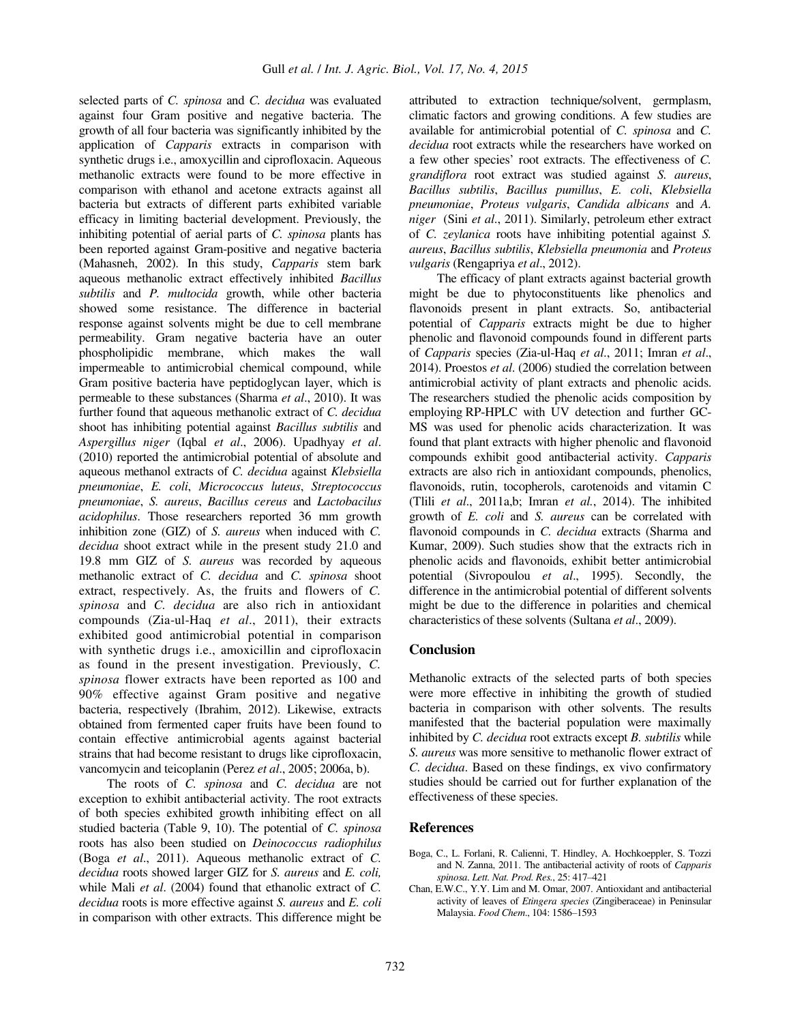selected parts of *C. spinosa* and *C. decidua* was evaluated against four Gram positive and negative bacteria. The growth of all four bacteria was significantly inhibited by the application of *Capparis* extracts in comparison with synthetic drugs i.e., amoxycillin and ciprofloxacin. Aqueous methanolic extracts were found to be more effective in comparison with ethanol and acetone extracts against all bacteria but extracts of different parts exhibited variable efficacy in limiting bacterial development. Previously, the inhibiting potential of aerial parts of *C. spinosa* plants has been reported against Gram-positive and negative bacteria (Mahasneh, 2002). In this study, *Capparis* stem bark aqueous methanolic extract effectively inhibited *Bacillus subtilis* and *P. multocida* growth, while other bacteria showed some resistance. The difference in bacterial response against solvents might be due to cell membrane permeability. Gram negative bacteria have an outer phospholipidic membrane, which makes the wall impermeable to antimicrobial chemical compound, while Gram positive bacteria have peptidoglycan layer, which is permeable to these substances (Sharma *et al*., 2010). It was further found that aqueous methanolic extract of *C. decidua* shoot has inhibiting potential against *Bacillus subtilis* and *Aspergillus niger* (Iqbal *et al*., 2006). Upadhyay *et al*. (2010) reported the antimicrobial potential of absolute and aqueous methanol extracts of *C. decidua* against *Klebsiella pneumoniae*, *E. coli*, *Micrococcus luteus*, *Streptococcus pneumoniae*, *S. aureus*, *Bacillus cereus* and *Lactobacilus acidophilus*. Those researchers reported 36 mm growth inhibition zone (GIZ) of *S. aureus* when induced with *C. decidua* shoot extract while in the present study 21.0 and 19.8 mm GIZ of *S. aureus* was recorded by aqueous methanolic extract of *C. decidua* and *C. spinosa* shoot extract, respectively. As, the fruits and flowers of *C. spinosa* and *C. decidua* are also rich in antioxidant compounds (Zia-ul-Haq *et al*., 2011), their extracts exhibited good antimicrobial potential in comparison with synthetic drugs i.e., amoxicillin and ciprofloxacin as found in the present investigation. Previously, *C. spinosa* flower extracts have been reported as 100 and 90% effective against Gram positive and negative bacteria, respectively (Ibrahim, 2012). Likewise, extracts obtained from fermented caper fruits have been found to contain effective antimicrobial agents against bacterial strains that had become resistant to drugs like ciprofloxacin, vancomycin and teicoplanin (Perez *et al*., 2005; 2006a, b).

The roots of *C. spinosa* and *C. decidua* are not exception to exhibit antibacterial activity. The root extracts of both species exhibited growth inhibiting effect on all studied bacteria (Table 9, 10). The potential of *C. spinosa* roots has also been studied on *Deinococcus radiophilus* (Boga *et al*., 2011). Aqueous methanolic extract of *C. decidua* roots showed larger GIZ for *S. aureus* and *E. coli,* while Mali *et al*. (2004) found that ethanolic extract of *C. decidua* roots is more effective against *S. aureus* and *E. coli* in comparison with other extracts. This difference might be

attributed to extraction technique/solvent, germplasm, climatic factors and growing conditions. A few studies are available for antimicrobial potential of *C. spinosa* and *C. decidua* root extracts while the researchers have worked on a few other species' root extracts. The effectiveness of *C. grandiflora* root extract was studied against *S. aureus*, *Bacillus subtilis*, *Bacillus pumillus*, *E. coli*, *Klebsiella pneumoniae*, *Proteus vulgaris*, *Candida albicans* and *A. niger* (Sini *et al*., 2011). Similarly, petroleum ether extract of *C. zeylanica* roots have inhibiting potential against *S. aureus*, *Bacillus subtilis*, *Klebsiella pneumonia* and *Proteus vulgaris* (Rengapriya *et al*., 2012).

The efficacy of plant extracts against bacterial growth might be due to phytoconstituents like phenolics and flavonoids present in plant extracts. So, antibacterial potential of *Capparis* extracts might be due to higher phenolic and flavonoid compounds found in different parts of *Capparis* species (Zia-ul-Haq *et al*., 2011; Imran *et al*., 2014). Proestos *et al*. (2006) studied the correlation between antimicrobial activity of plant extracts and phenolic acids. The researchers studied the phenolic acids composition by employing RP-HPLC with UV detection and further GC-MS was used for phenolic acids characterization. It was found that plant extracts with higher phenolic and flavonoid compounds exhibit good antibacterial activity. *Capparis* extracts are also rich in antioxidant compounds, phenolics, flavonoids, rutin, tocopherols, carotenoids and vitamin C (Tlili *et al*., 2011a,b; Imran *et al.*, 2014). The inhibited growth of *E. coli* and *S. aureus* can be correlated with flavonoid compounds in *C. decidua* extracts (Sharma and Kumar, 2009). Such studies show that the extracts rich in phenolic acids and flavonoids, exhibit better antimicrobial potential (Sivropoulou *et al*., 1995). Secondly, the difference in the antimicrobial potential of different solvents might be due to the difference in polarities and chemical characteristics of these solvents (Sultana *et al*., 2009).

### **Conclusion**

Methanolic extracts of the selected parts of both species were more effective in inhibiting the growth of studied bacteria in comparison with other solvents. The results manifested that the bacterial population were maximally inhibited by *C. decidua* root extracts except *B. subtilis* while *S. aureus* was more sensitive to methanolic flower extract of *C. decidua*. Based on these findings, ex vivo confirmatory studies should be carried out for further explanation of the effectiveness of these species.

### **References**

- Boga, C., L. Forlani, R. Calienni, T. Hindley, A. Hochkoeppler, S. Tozzi and N. Zanna, 2011. The antibacterial activity of roots of *Capparis spinosa*. *Lett. Nat. Prod. Res.*, 25: 417‒421
- Chan, E.W.C., Y.Y. Lim and M. Omar, 2007. Antioxidant and antibacterial activity of leaves of *Etingera species* (Zingiberaceae) in Peninsular Malaysia. *Food Chem*., 104: 1586‒1593